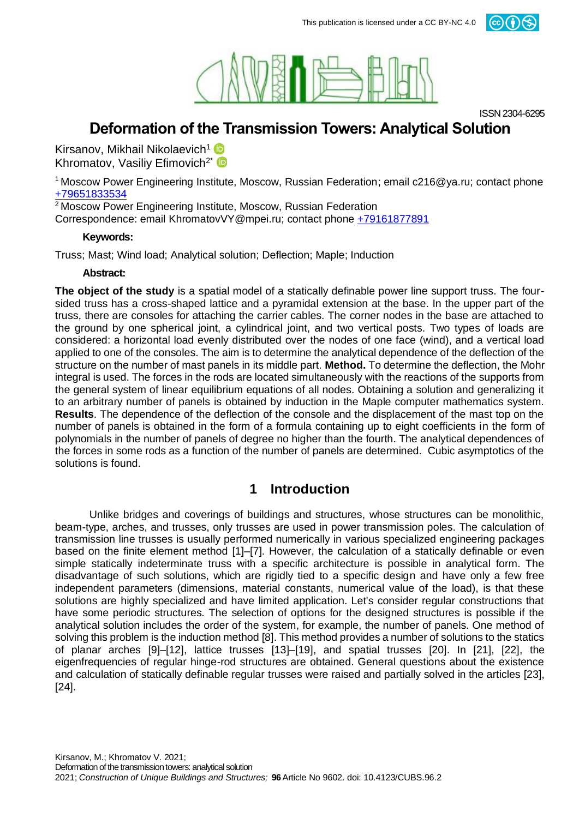



ISSN 2304-6295

# **Deformation of the Transmission Towers: Analytical Solution**

Kirsanov, Mikhail Nikolaevich<sup>1</sup> Khromatov, Vasiliy Efimovich<sup>2\*</sup>

<sup>1</sup>Moscow Power Engineering Institute, Moscow, Russian Federation; email c216@ya.ru; contact phone +79651833534

<sup>2</sup> Moscow Power Engineering Institute, Moscow, Russian Federation

Correspondence: email KhromatovVY@mpei.ru; contact phone +79161877891

#### **Keywords:**

Truss; Mast; Wind load; Analytical solution; Deflection; Maple; Induction

#### **Abstract:**

**The object of the study** is a spatial model of a statically definable power line support truss. The foursided truss has a cross-shaped lattice and a pyramidal extension at the base. In the upper part of the truss, there are consoles for attaching the carrier cables. The corner nodes in the base are attached to the ground by one spherical joint, a cylindrical joint, and two vertical posts. Two types of loads are considered: a horizontal load evenly distributed over the nodes of one face (wind), and a vertical load applied to one of the consoles. The aim is to determine the analytical dependence of the deflection of the structure on the number of mast panels in its middle part. **Method.** To determine the deflection, the Mohr integral is used. The forces in the rods are located simultaneously with the reactions of the supports from the general system of linear equilibrium equations of all nodes. Obtaining a solution and generalizing it to an arbitrary number of panels is obtained by induction in the Maple computer mathematics system. **Results**. The dependence of the deflection of the console and the displacement of the mast top on the number of panels is obtained in the form of a formula containing up to eight coefficients in the form of polynomials in the number of panels of degree no higher than the fourth. The analytical dependences of the forces in some rods as a function of the number of panels are determined. Cubic asymptotics of the solutions is found.

### **1 Introduction**

Unlike bridges and coverings of buildings and structures, whose structures can be monolithic, beam-type, arches, and trusses, only trusses are used in power transmission poles. The calculation of transmission line trusses is usually performed numerically in various specialized engineering packages based on the finite element method [1]–[7]. However, the calculation of a statically definable or even simple statically indeterminate truss with a specific architecture is possible in analytical form. The disadvantage of such solutions, which are rigidly tied to a specific design and have only a few free independent parameters (dimensions, material constants, numerical value of the load), is that these solutions are highly specialized and have limited application. Let's consider regular constructions that have some periodic structures. The selection of options for the designed structures is possible if the analytical solution includes the order of the system, for example, the number of panels. One method of solving this problem is the induction method [8]. This method provides a number of solutions to the statics of planar arches [9]–[12], lattice trusses [13]–[19], and spatial trusses [20]. In [21], [22], the eigenfrequencies of regular hinge-rod structures are obtained. General questions about the existence and calculation of statically definable regular trusses were raised and partially solved in the articles [23], [24].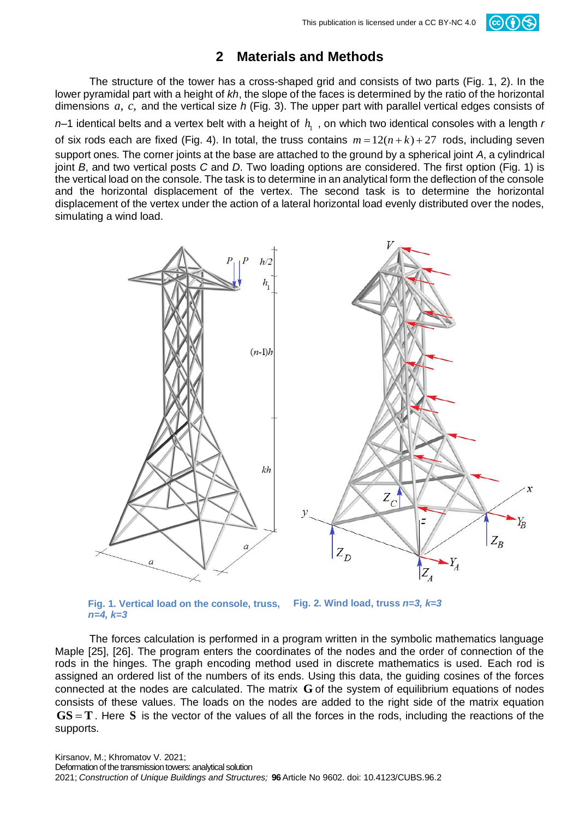# $(cc)(\cdot)$

## **2 Materials and Methods**

The structure of the tower has a cross-shaped grid and consists of two parts (Fig. 1, 2). In the lower pyramidal part with a height of *kh*, the slope of the faces is determined by the ratio of the horizontal dimensions a, c, and the vertical size h (Fig. 3). The upper part with parallel vertical edges consists of

*n*–1 identical belts and a vertex belt with a height of  $h_1$ , on which two identical consoles with a length *r* of six rods each are fixed (Fig. 4). In total, the truss contains  $m = 12(n+k) + 27$  rods, including seven support ones. The corner joints at the base are attached to the ground by a spherical joint *A*, a cylindrical joint *B*, and two vertical posts *C* and *D*. Two loading options are considered. The first option (Fig. 1) is the vertical load on the console. The task is to determine in an analytical form the deflection of the console and the horizontal displacement of the vertex. The second task is to determine the horizontal displacement of the vertex under the action of a lateral horizontal load evenly distributed over the nodes, simulating a wind load.



**Fig. 1. Vertical load on the console, truss,**  *n=4, k=3* **Fig. 2. Wind load, truss** *n=3, k=3*

The forces calculation is performed in a program written in the symbolic mathematics language Maple [25], [26]. The program enters the coordinates of the nodes and the order of connection of the rods in the hinges. The graph encoding method used in discrete mathematics is used. Each rod is assigned an ordered list of the numbers of its ends. Using this data, the guiding cosines of the forces connected at the nodes are calculated. The matrix G of the system of equilibrium equations of nodes consists of these values. The loads on the nodes are added to the right side of the matrix equation  $\text{GS} = \text{T}$ . Here S is the vector of the values of all the forces in the rods, including the reactions of the supports.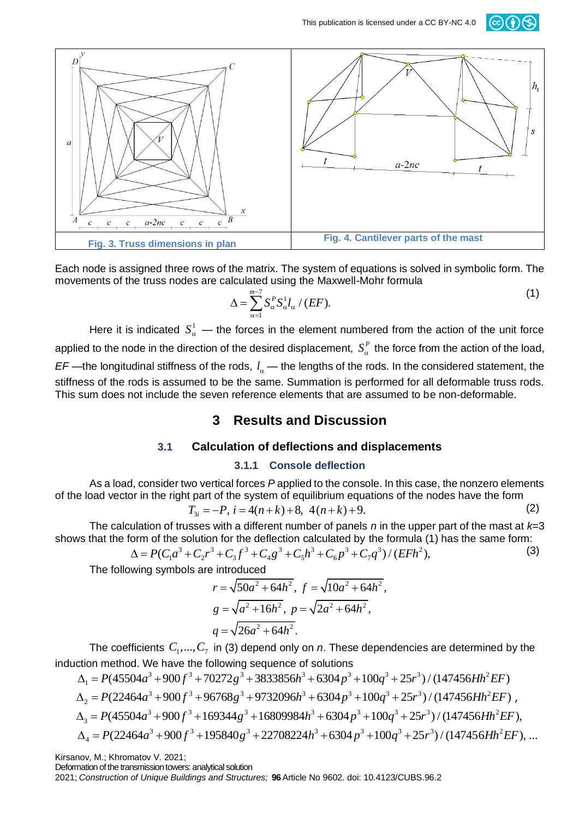



Each node is assigned three rows of the matrix. The system of equations is solved in symbolic form. The movements of the truss nodes are calculated using the Maxwell-Mohr formula

$$
\Delta = \sum_{\alpha=1}^{m-7} S_{\alpha}^P S_{\alpha}^1 l_{\alpha} / (EF).
$$
 (1)

Here it is indicated  $S^1_\alpha$  — the forces in the element numbered from the action of the unit force applied to the node in the direction of the desired displacement,  $S^P_\alpha$  the force from the action of the load,  $EF$ —the longitudinal stiffness of the rods,  $l_a$ — the lengths of the rods. In the considered statement, the stiffness of the rods is assumed to be the same. Summation is performed for all deformable truss rods. This sum does not include the seven reference elements that are assumed to be non-deformable.

### **3 Results and Discussion**

### **3.1 Calculation of deflections and displacements**

#### **3.1.1 Console deflection**

As a load, consider two vertical forces *P* applied to the console. In this case, the nonzero elements of the load vector in the right part of the system of equilibrium equations of the nodes have the form  $T_{3i} = -P$ ,  $i = 4(n+k) + 8$ ,  $4(n+k) + 9$ .

$$
T_{3i} = -P, \ i = 4(n+k) + 8, \ 4(n+k) + 9. \tag{2}
$$

The calculation of trusses with a different number of panels *n* in the upper part of the mast at *k*=3 that the form of the solution for the deflection calculated by the formula (1) has the same form:<br>  $\Delta = P(C_1a^3 + C_2r^3$ shows that the form of the solution for the deflection calculated by the formula (1) has the same form:<br> $\Delta = P(C_a a^3 + C_a r^3 + C_a f^3 + C_a g^3 + C_c h^3 + C_c g^3 + C_a q^3) / (E F h^2)$ . (3)

$$
\Delta = P(C_1a^3 + C_2r^3 + C_3f^3 + C_4g^3 + C_5h^3 + C_6p^3 + C_7q^3)/(EFR^2),
$$

The following symbols are introduced

re introduced  
\n
$$
r = \sqrt{50a^2 + 64h^2}
$$
,  $f = \sqrt{10a^2 + 64h^2}$ ,  
\n $g = \sqrt{a^2 + 16h^2}$ ,  $p = \sqrt{2a^2 + 64h^2}$ ,  
\n $q = \sqrt{26a^2 + 64h^2}$ .

The coefficients  $C_1$ ,...,  $C_7$  in (3) depend only on *n*. These dependencies are determined by the on method. We have the following sequence of solutions<br>=  $P(45504a^3 + 900f^3 + 70272g^3 + 3833856h^3 + 6304p^3 + 100q^3 + 25$ The coefficients  $C_1$ ,...,  $C_7$  in (3) depend only on *n*. These dependencies are determined become method. We have the following sequence of solutions<br>  $\Delta_1 = P(45504a^3 + 900f^3 + 70272g^3 + 3833856h^3 + 6304p^3 + 100q^3 + 2$ 

The coefficients 
$$
C_1, ..., C_7
$$
 in (3) depend only on *n*. These dependencies are determined by the  
induction method. We have the following sequence of solutions  

$$
\Delta_1 = P(45504a^3 + 900f^3 + 70272g^3 + 3833856h^3 + 6304p^3 + 100q^3 + 25r^3) / (147456Hh^2EF)
$$

$$
\Delta_2 = P(22464a^3 + 900f^3 + 96768g^3 + 9732096h^3 + 6304p^3 + 100q^3 + 25r^3) / (147456Hh^2EF),
$$

$$
\Delta_3 = P(45504a^3 + 900f^3 + 169344g^3 + 16809984h^3 + 6304p^3 + 100q^3 + 25r^3) / (147456Hh^2EF),
$$

$$
\Delta_4 = P(22464a^3 + 900f^3 + 195840g^3 + 22708224h^3 + 6304p^3 + 100q^3 + 25r^3) / (147456Hh^2EF),
$$

Kirsanov, M.; Khromatov V. 2021;

Deformation of the transmission towers: analytical solution

2021; *Construction of Unique Buildings and Structures;* **96**Article No 9602. doi: 10.4123/CUBS.96.2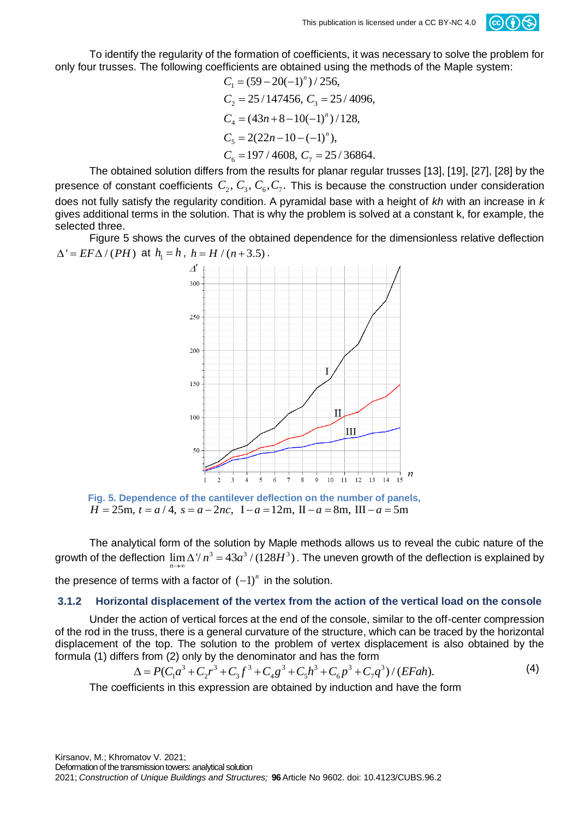

To identify the regularity of the formation of coefficients, it was necessary to solve the problem for only four trusses. The following coefficients are obtained using the methods of the Maple system:<br> $C_1 = (59 - 20(-1)^n) / 256$ ,

$$
C_1 = (59 - 20(-1)^n) / 256,
$$
  
\n
$$
C_2 = 25 / 147456, C_3 = 25 / 4096,
$$
  
\n
$$
C_4 = (43n + 8 - 10(-1)^n) / 128,
$$
  
\n
$$
C_5 = 2(22n - 10 - (-1)^n),
$$
  
\n
$$
C_6 = 197 / 4608, C_7 = 25 / 36864.
$$

The obtained solution differs from the results for planar regular trusses [13], [19], [27], [28] by the presence of constant coefficients  $C_2, C_3, C_6, C_7$ . This is because the construction under consideration does not fully satisfy the regularity condition. A pyramidal base with a height of *kh* with an increase in *k* gives additional terms in the solution. That is why the problem is solved at a constant k, for example, the selected three.

Figure 5 shows the curves of the obtained dependence for the dimensionless relative deflection  $\Delta' = E F \Delta / (PH)$  at  $h_1 = h$ ,  $h = H / (n+3.5)$ .



**Fig. 5. Dependence of the cantilever deflection on the number of panels,**  $H = 25$ m,  $t = a/4$ ,  $s = a - 2nc$ ,  $I - a = 12$ m,  $II - a = 8$ m,  $III - a = 5$ m

The analytical form of the solution by Maple methods allows us to reveal the cubic nature of the The analytical form of the solution by maple methods allows us to revear the cubic nature of the growth of the deflection is explained by growth of the deflection is explained by *n* →

the presence of terms with a factor of  $(-1)^n$  in the solution.

#### **3.1.2 Horizontal displacement of the vertex from the action of the vertical load on the console**

Under the action of vertical forces at the end of the console, similar to the off-center compression of the rod in the truss, there is a general curvature of the structure, which can be traced by the horizontal displacement of the top. The solution to the problem of vertex displacement is also obtained by the formula (1) differs from (2) only by the denominator and has the form<br>  $\Delta = P(C_1a^3 + C_2r^3 + C_3f^3 + C_4g^3 + C_5h^3 + C_6p^3 + C_7$ formula (1) differs from (2) only by the denominator and has the form<br>  $\Delta = P(C_a a^3 + C_a r^3 + C_a f^3 + C_c g^3 + C_c h^3 + C_c g^3 + C_c g^3)$ 

$$
\Delta = P(C_1 a^3 + C_2 r^3 + C_3 f^3 + C_4 g^3 + C_5 h^3 + C_6 p^3 + C_7 q^3) / (EFah).
$$
\n(4)

The coefficients in this expression are obtained by induction and have the form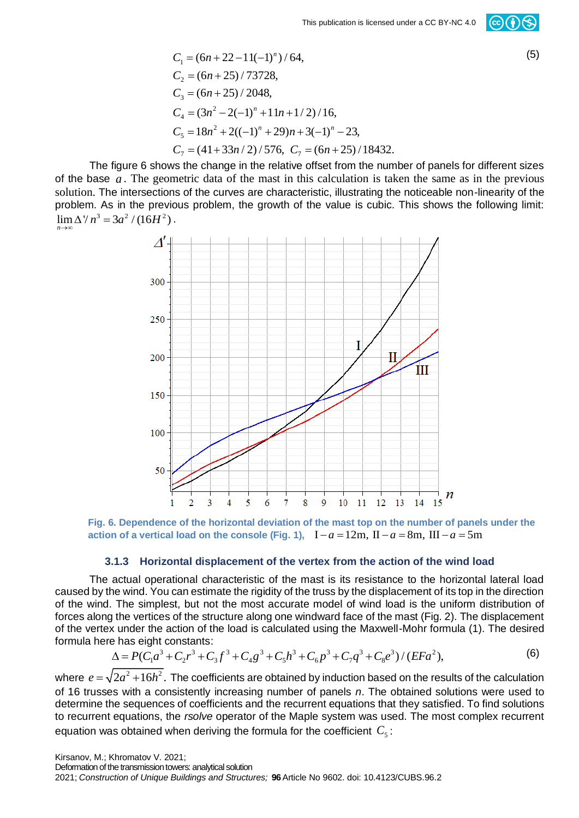$$
C_1 = (6n + 22 - 11(-1)^n) / 64,
$$
  
\n
$$
C_2 = (6n + 25) / 73728,
$$
  
\n
$$
C_3 = (6n + 25) / 2048,
$$
  
\n
$$
C_4 = (3n^2 - 2(-1)^n + 11n + 1/2) / 16,
$$
  
\n
$$
C_5 = 18n^2 + 2((-1)^n + 29)n + 3(-1)^n - 23,
$$
  
\n
$$
C_7 = (41 + 33n/2) / 576, C_7 = (6n + 25) / 18432.
$$

The figure 6 shows the change in the relative offset from the number of panels for different sizes of the base *a* . The geometric data of the mast in this calculation is taken the same as in the previous solution. The intersections of the curves are characteristic, illustrating the noticeable non-linearity of the problem. As in the previous problem, the growth of the value is cubic. This shows the following limit:  $\lim_{n \to \infty} \Delta^n / n^3 = 3a^2 / (16H^2)$ . *n* →∞



Fig. 6. Dependence of the horizontal deviation of the mast top on the number of panels under the action of a vertical load on the console (Fig. 1),  $I - a = 12m$ ,  $II - a = 8m$ ,  $III - a = 5m$ 

#### **3.1.3 Horizontal displacement of the vertex from the action of the wind load**

The actual operational characteristic of the mast is its resistance to the horizontal lateral load caused by the wind. You can estimate the rigidity of the truss by the displacement of its top in the direction of the wind. The simplest, but not the most accurate model of wind load is the uniform distribution of forces along the vertices of the structure along one windward face of the mast (Fig. 2). The displacement of the vertex under the action of the load is calculated using the Maxwell-Mohr formula (1). The desired formula here has eight constants:<br>  $\Delta = P(C_1a^3 + C_2r^3 + C_3f^3 + C_4g^3 + C_5h^3 + C_6g^3 + C_7g^3 + C_8e^3)/(EFa^2)$ , (6) formula here has eight constants: If the vertices of the structure along one windward face of the mast (Fig.  $\kappa$  under the action of the load is calculated using the Maxwell-Mohr form and the has eight constants:<br>  $\Delta = P(C_1a^3 + C_2r^3 + C_3f^3 + C_4g^3 + C_5h^3$ 

$$
\Delta = P(C_1 a^3 + C_2 r^3 + C_3 f^3 + C_4 g^3 + C_5 h^3 + C_6 p^3 + C_7 q^3 + C_8 e^3) / (E F a^2),
$$
\n(6)

where  $e = \sqrt{2a^2 + 16h^2}$ . The coefficients are obtained by induction based on the results of the calculation of 16 trusses with a consistently increasing number of panels *n*. The obtained solutions were used to determine the sequences of coefficients and the recurrent equations that they satisfied. To find solutions to recurrent equations, the *rsolve* operator of the Maple system was used. The most complex recurrent equation was obtained when deriving the formula for the coefficient  $C_{\text{s}}$ :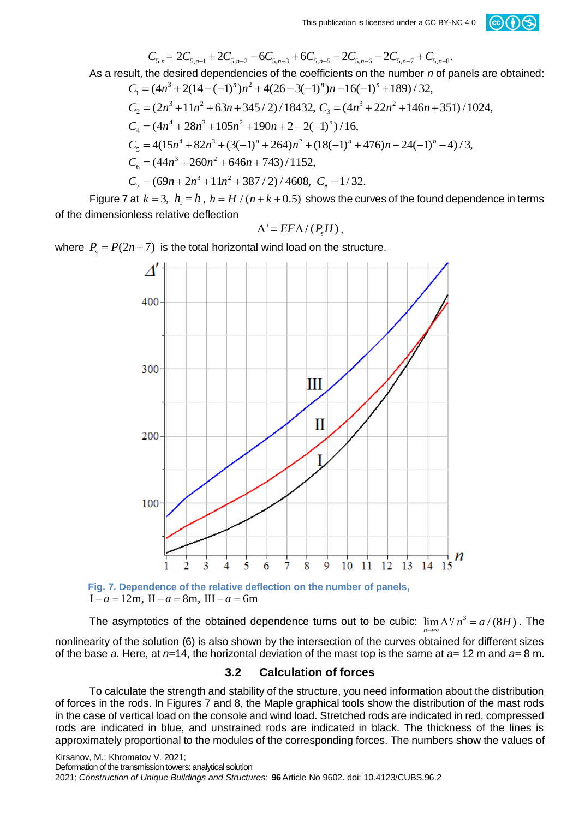

This publication is licensed under a CC BY-NC 4.0 \nC<sub>5,n</sub> = 2C<sub>5,n-1</sub> + 2C<sub>5,n-2</sub> - 6C<sub>5,n-3</sub> + 6C<sub>5,n-5</sub> - 2C<sub>5,n-6</sub> - 2C<sub>5,n-7</sub> + C<sub>5,n-8</sub>.  
\nAs a result, the desired dependencies of the coefficients on the number *n* of panels are obtained: \n
$$
C_1 = (4n^3 + 2(14 - (-1)^n)n^2 + 4(26 - 3(-1)^n)n - 16(-1)^n + 189)/32,
$$
\n
$$
C_2 = (2n^3 + 11n^2 + 63n + 345/2)/18432, C_3 = (4n^3 + 22n^2 + 146n + 351)/1024,
$$
\n
$$
C_4 = (4n^4 + 28n^3 + 105n^2 + 190n + 2 - 2(-1)^n)/16,
$$
\n
$$
C_5 = 4(15n^4 + 82n^3 + (3(-1)^n + 264)n^2 + (18(-1)^n + 476)n + 24(-1)^n - 4)/3,
$$
\n
$$
C_6 = (44n^3 + 260n^2 + 646n + 743)/1152,
$$
\n
$$
C_7 = (69n + 2n^3 + 11n^2 + 387/2)/4608, C_8 = 1/32.
$$

Figure 7 at  $k = 3$ ,  $h_1 = h$ ,  $h = H / (n + k + 0.5)$  shows the curves of the found dependence in terms of the dimensionless relative deflection

$$
\Delta' = EF\Delta/(P_s H),
$$

where  $P_s = P(2n + 7)$  is the total horizontal wind load on the structure.



 $I - a = 12m$ ,  $II - a = 8m$ ,  $III - a = 6m$ 

The asymptotics of the obtained dependence turns out to be cubic:  $\lim \Delta^{\gamma}/n^3 = a/(8H)$ . The *n*  $\rightarrow \infty$ nonlinearity of the solution (6) is also shown by the intersection of the curves obtained for different sizes of the base *a*. Here, at *n*=14, the horizontal deviation of the mast top is the same at *a*= 12 m and *a*= 8 m.

#### **3.2 Calculation of forces**

To calculate the strength and stability of the structure, you need information about the distribution of forces in the rods. In Figures 7 and 8, the Maple graphical tools show the distribution of the mast rods in the case of vertical load on the console and wind load. Stretched rods are indicated in red, compressed rods are indicated in blue, and unstrained rods are indicated in black. The thickness of the lines is approximately proportional to the modules of the corresponding forces. The numbers show the values of

Kirsanov, M.; Khromatov V. 2021;

Deformation of the transmission towers: analytical solution

2021; *Construction of Unique Buildings and Structures;* **96**Article No 9602. doi: 10.4123/CUBS.96.2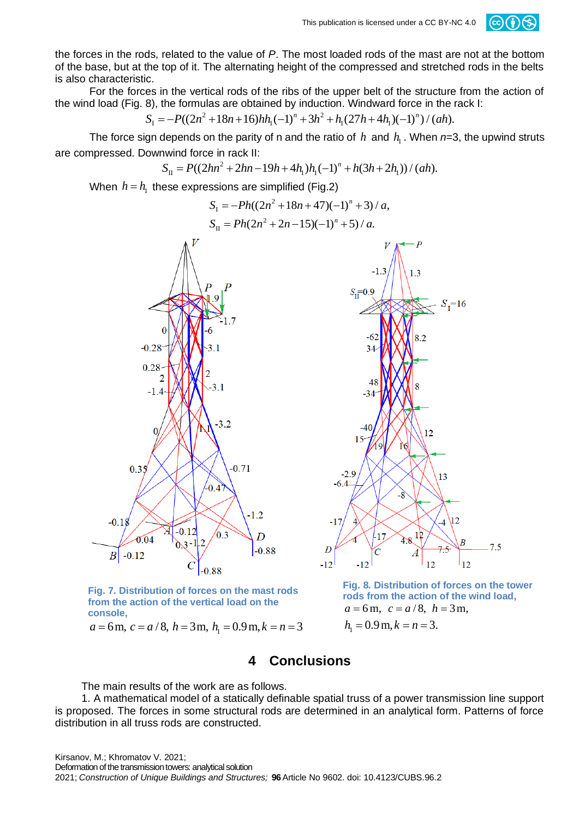

the forces in the rods, related to the value of *P*. The most loaded rods of the mast are not at the bottom of the base, but at the top of it. The alternating height of the compressed and stretched rods in the belts is also characteristic.

For the forces in the vertical rods of the ribs of the upper belt of the structure from the action of the wind load (Fig. 8), the formulas are obtained by induction. Windward force in the rack I:<br>  $S_1 = -P((2n^2 + 18n + 16)hh_1(-1)^n + 3h^2 + h_1(27h + 4h_1)(-1)^n)/(ah)$ . I es in the vertical rods of the ribs of the upper belt of the structure 8), the formulas are obtained by induction. Windward force in the  $S_1 = -P((2n^2 + 18n + 16)hh_1(-1)^n + 3h^2 + h_1(27h + 4h_1)(-1)^n)/(ah)$ .

$$
S_1 = -P((2n^2 + 18n + 16)hh_1(-1)^n + 3h^2 + h_1(27h + 4h_1)(-1)^n)/(ah).
$$

The force sign depends on the parity of n and the ratio of *h* and  $h_1$ . When *n*=3, the upwind struts npressed. Downwind force in rack II:<br> $S_{II} = P((2hn^2 + 2hn - 19h + 4h_1)h_1(-1)^n + h(3h + 2h_1))/(ah)$ . are compressed. Downwind force in rack II:

$$
S_{\rm II} = P((2hn^2 + 2hn - 19h + 4h_1)h_1(-1)^n + h(3h + 2h_1))/(ah).
$$

When  $h = h_1$  these expressions are simplified (Fig.2)<br> $S_1 = -Ph((2n^2 + 18n + 47)(-1)^n + 3) / a,$ 

$$
S_{I} = -Ph((2n^{2} + 18n + 47)(-1)^{n} + 3) / a,
$$
  
\n
$$
S_{II} = Ph(2n^{2} + 2n - 15)(-1)^{n} + 5) / a.
$$





**Fig. 7. Distribution of forces on the mast rods from the action of the vertical load on the console,**  from the action of the vertical load on the<br>
console,<br>  $a = 6$  m,  $c = a/8$ ,  $h = 3$  m,  $h_1 = 0.9$  m,  $k = n = 3$ 

**Fig. 8. Distribution of forces on the tower rods from the action of the wind load,**   $a = 6$  m,  $c = a/8$ ,  $h = 3$  m,

$$
h_1 = 0.9 \,\text{m}, k = n = 3.
$$

### **4 Conclusions**

The main results of the work are as follows.

1. A mathematical model of a statically definable spatial truss of a power transmission line support is proposed. The forces in some structural rods are determined in an analytical form. Patterns of force distribution in all truss rods are constructed.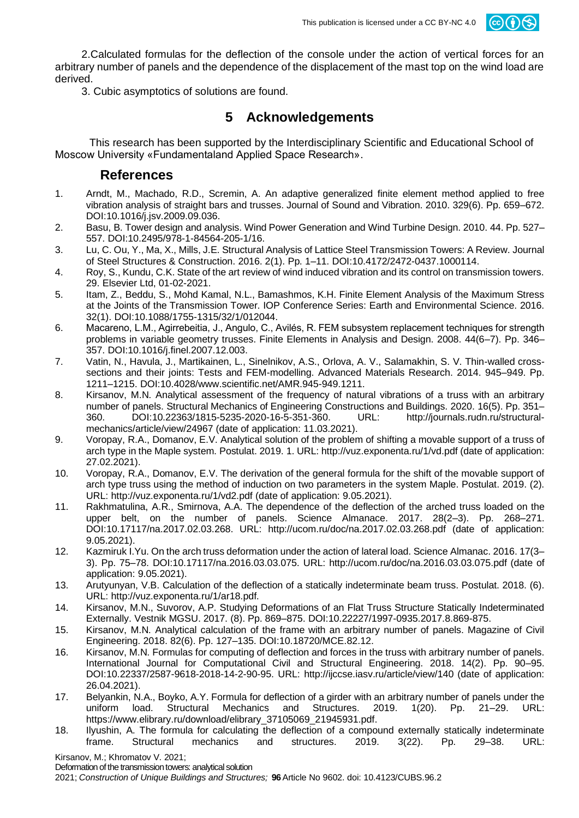

2.Calculated formulas for the deflection of the console under the action of vertical forces for an arbitrary number of panels and the dependence of the displacement of the mast top on the wind load are derived.

3. Cubic asymptotics of solutions are found.

## **5 Acknowledgements**

This research has been supported by the Interdisciplinary Scientific and Educational School of Moscow University «Fundamentaland Applied Space Research».

### **References**

- 1. Arndt, M., Machado, R.D., Scremin, A. An adaptive generalized finite element method applied to free vibration analysis of straight bars and trusses. Journal of Sound and Vibration. 2010. 329(6). Pp. 659–672. DOI:10.1016/j.jsv.2009.09.036.
- 2. Basu, B. Tower design and analysis. Wind Power Generation and Wind Turbine Design. 2010. 44. Pp. 527– 557. DOI:10.2495/978-1-84564-205-1/16.
- 3. Lu, C. Ou, Y., Ma, X., Mills, J.E. Structural Analysis of Lattice Steel Transmission Towers: A Review. Journal of Steel Structures & Construction. 2016. 2(1). Pp. 1–11. DOI:10.4172/2472-0437.1000114.
- 4. Roy, S., Kundu, C.K. State of the art review of wind induced vibration and its control on transmission towers. 29. Elsevier Ltd, 01-02-2021.
- 5. Itam, Z., Beddu, S., Mohd Kamal, N.L., Bamashmos, K.H. Finite Element Analysis of the Maximum Stress at the Joints of the Transmission Tower. IOP Conference Series: Earth and Environmental Science. 2016. 32(1). DOI:10.1088/1755-1315/32/1/012044.
- 6. Macareno, L.M., Agirrebeitia, J., Angulo, C., Avilés, R. FEM subsystem replacement techniques for strength problems in variable geometry trusses. Finite Elements in Analysis and Design. 2008. 44(6–7). Pp. 346– 357. DOI:10.1016/j.finel.2007.12.003.
- 7. Vatin, N., Havula, J., Martikainen, L., Sinelnikov, A.S., Orlova, A. V., Salamakhin, S. V. Thin-walled crosssections and their joints: Tests and FEM-modelling. Advanced Materials Research. 2014. 945–949. Pp. 1211–1215. DOI:10.4028/www.scientific.net/AMR.945-949.1211.
- 8. Kirsanov, M.N. Analytical assessment of the frequency of natural vibrations of a truss with an arbitrary number of panels. Structural Mechanics of Engineering Constructions and Buildings. 2020. 16(5). Pp. 351–<br>360. DOI:10.22363/1815-5235-2020-16-5-351-360. URL: http://journals.rudn.ru/structural-360. DOI:10.22363/1815-5235-2020-16-5-351-360. URL: mechanics/article/view/24967 (date of application: 11.03.2021).
- 9. Voropay, R.A., Domanov, E.V. Analytical solution of the problem of shifting a movable support of a truss of arch type in the Maple system. Postulat. 2019. 1. URL: http://vuz.exponenta.ru/1/vd.pdf (date of application: 27.02.2021).
- 10. Voropay, R.A., Domanov, E.V. The derivation of the general formula for the shift of the movable support of arch type truss using the method of induction on two parameters in the system Maple. Postulat. 2019. (2). URL: http://vuz.exponenta.ru/1/vd2.pdf (date of application: 9.05.2021).
- 11. Rakhmatulina, A.R., Smirnova, A.A. The dependence of the deflection of the arched truss loaded on the upper belt, on the number of panels. Science Almanace. 2017. 28(2–3). Pp. 268–271. DOI:10.17117/na.2017.02.03.268. URL: http://ucom.ru/doc/na.2017.02.03.268.pdf (date of application: 9.05.2021).
- 12. Kazmiruk I.Yu. On the arch truss deformation under the action of lateral load. Science Almanac. 2016. 17(3– 3). Pp. 75–78. DOI:10.17117/na.2016.03.03.075. URL: http://ucom.ru/doc/na.2016.03.03.075.pdf (date of application: 9.05.2021).
- 13. Arutyunyan, V.B. Calculation of the deflection of a statically indeterminate beam truss. Postulat. 2018. (6). URL: http://vuz.exponenta.ru/1/ar18.pdf.
- 14. Kirsanov, M.N., Suvorov, A.P. Studying Deformations of an Flat Truss Structure Statically Indeterminated Externally. Vestnik MGSU. 2017. (8). Pp. 869–875. DOI:10.22227/1997-0935.2017.8.869-875.
- 15. Kirsanov, M.N. Analytical calculation of the frame with an arbitrary number of panels. Magazine of Civil Engineering. 2018. 82(6). Pp. 127–135. DOI:10.18720/MCE.82.12.
- 16. Kirsanov, M.N. Formulas for computing of deflection and forces in the truss with arbitrary number of panels. International Journal for Computational Civil and Structural Engineering. 2018. 14(2). Pp. 90–95. DOI:10.22337/2587-9618-2018-14-2-90-95. URL: http://ijccse.iasv.ru/article/view/140 (date of application: 26.04.2021).
- 17. Belyankin, N.A., Boyko, A.Y. Formula for deflection of a girder with an arbitrary number of panels under the uniform load. Structural Mechanics and Structures. 2019. 1(20). Pp. 21–29. URL: https://www.elibrary.ru/download/elibrary\_37105069\_21945931.pdf.
- 18. Ilyushin, A. The formula for calculating the deflection of a compound externally statically indeterminate frame. Structural mechanics and structures. 2019. 3(22). Pp. 29–38. URL:

Kirsanov, M.; Khromatov V. 2021;

Deformation of the transmission towers: analytical solution

2021; *Construction of Unique Buildings and Structures;* **96**Article No 9602. doi: 10.4123/CUBS.96.2